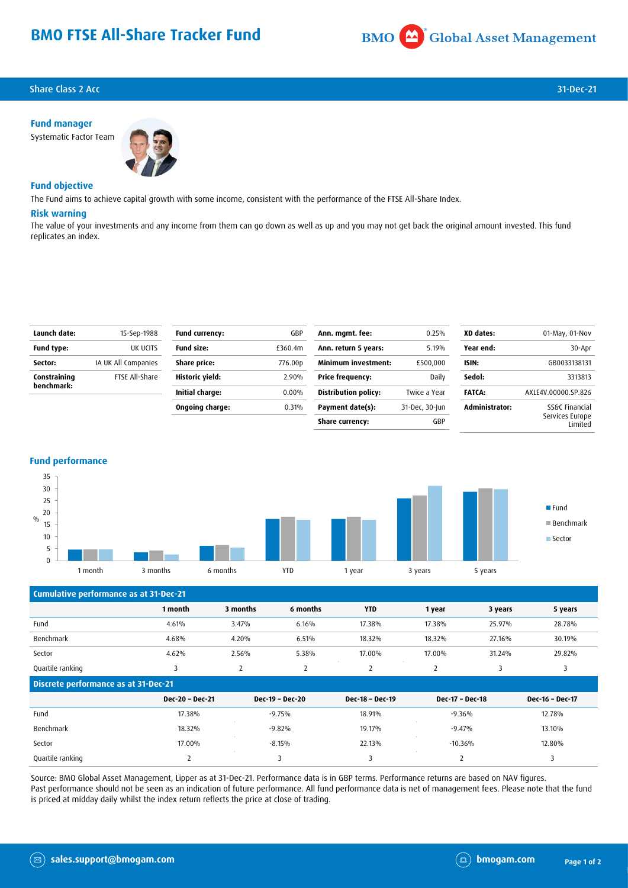# **BMO FTSE All-Share Tracker Fund**



## **Share Class 2 Acc** 31-Dec-21

**Fund manager**



### **Fund objective**

The Fund aims to achieve capital growth with some income, consistent with the performance of the FTSE All-Share Index.

#### **Risk warning**

The value of your investments and any income from them can go down as well as up and you may not get back the original amount invested. This fund replicates an index.

| Launch date:      | 15-Sep-1988         | <b>Fund currency:</b> | GBP      | Ann. mgmt. fee:            | 0.25%          | XD dates:             | 01-May, 01-Nov             |
|-------------------|---------------------|-----------------------|----------|----------------------------|----------------|-----------------------|----------------------------|
| <b>Fund type:</b> | UK UCITS            | <b>Fund size:</b>     | £360.4m  | Ann. return 5 years:       | 5.19%          | Year end:             | 30-Apr                     |
| Sector:           | IA UK All Companies | Share price:          | 776.00p  | <b>Minimum investment:</b> | £500,000       | ISIN:                 | GB0033138131               |
| Constraining      | FTSE All-Share      | Historic yield:       | 2.90%    | <b>Price frequency:</b>    | Daily          | Sedol:                | 3313813                    |
| benchmark:        |                     | Initial charge:       | $0.00\%$ | Distribution policy:       | Twice a Year   | <b>FATCA:</b>         | AXLE4V.00000.SP.826        |
|                   |                     | Ongoing charge:       | 0.31%    | Payment date(s):           | 31-Dec, 30-Jun | <b>Administrator:</b> | SS&C Financial             |
|                   |                     |                       |          | Share currency:            | GBP            |                       | Services Europe<br>Limited |
|                   |                     |                       |          |                            |                |                       |                            |





| Cumulative performance as at 31-Dec-21      |                 |          |                 |                 |                 |         |                 |
|---------------------------------------------|-----------------|----------|-----------------|-----------------|-----------------|---------|-----------------|
|                                             | 1 month         | 3 months | 6 months        | <b>YTD</b>      | 1 year          | 3 years | 5 years         |
| Fund                                        | 4.61%           | 3.47%    | 6.16%           | 17.38%          | 17.38%          | 25.97%  | 28.78%          |
| Benchmark                                   | 4.68%           | 4.20%    | 6.51%           | 18.32%          | 18.32%          | 27.16%  | 30.19%          |
| Sector                                      | 4.62%           | 2.56%    | 5.38%           | 17.00%          | 17.00%          | 31.24%  | 29.82%          |
| Quartile ranking                            | 3               | 2        | 2               | 2               | 2               | 3       | 3               |
| <b>Discrete performance as at 31-Dec-21</b> |                 |          |                 |                 |                 |         |                 |
|                                             | Dec-20 - Dec-21 |          | Dec-19 - Dec-20 | Dec-18 - Dec-19 | Dec-17 - Dec-18 |         | Dec-16 - Dec-17 |
| Fund                                        | 17.38%          |          | $-9.75%$        | 18.91%          | $-9.36%$        |         | 12.78%          |
| Benchmark                                   | 18.32%          |          | $-9.82%$        | 19.17%          | $-9.47%$        |         | 13.10%          |
| Sector                                      | 17.00%          |          | $-8.15%$        | 22.13%          | $-10.36%$       |         | 12.80%          |
| Quartile ranking                            | 2               |          | 3               | 3               | $\overline{2}$  |         | 3               |

Source: BMO Global Asset Management, Lipper as at 31-Dec-21. Performance data is in GBP terms. Performance returns are based on NAV figures. Past performance should not be seen as an indication of future performance. All fund performance data is net of management fees. Please note that the fund is priced at midday daily whilst the index return reflects the price at close of trading.

 $(\boxtimes)$